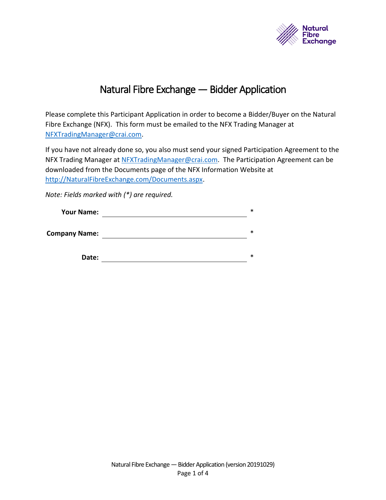

# Natural Fibre Exchange — Bidder Application

<span id="page-0-0"></span>Please complete this Participant Application in order to become a Bidder/Buyer on the Natural Fibre Exchange (NFX). This form must be emailed to the NFX Trading Manager at [NFXTradingManager@crai.com.](mailto:NFXTradingManager@crai.com)

If you have not already done so, you also must send your signed Participation Agreement to the NFX Trading Manager at [NFXTradingManager@crai.com.](mailto:NFXTradingManager@crai.com) The Participation Agreement can be downloaded from the Documents page of the NFX Information Website at [http://NaturalFibreExchange.com/Documents.aspx.](http://naturalfibreexchange.com/Documents.aspx)

*Note: Fields marked with (\*) are required.*

| <b>Your Name:</b>    | $\ast$ |
|----------------------|--------|
| <b>Company Name:</b> | $\ast$ |
| Date:                | $\ast$ |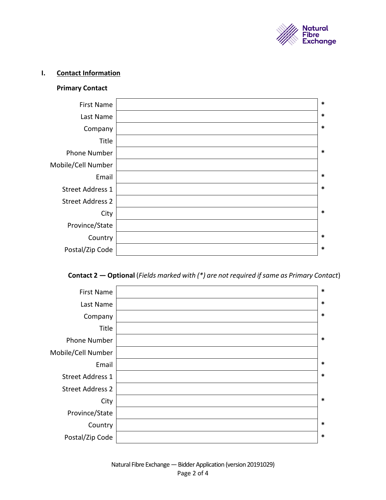

#### **I. Contact Information**

### **Primary Contact**

| $\ast$ | <b>First Name</b>       |
|--------|-------------------------|
| $\ast$ | Last Name               |
| $\ast$ | Company                 |
|        | Title                   |
| $\ast$ | <b>Phone Number</b>     |
|        | Mobile/Cell Number      |
| $\ast$ | Email                   |
| $\ast$ | <b>Street Address 1</b> |
|        | <b>Street Address 2</b> |
| $\ast$ | City                    |
|        | Province/State          |
| $\ast$ | Country                 |
| $\ast$ | Postal/Zip Code         |
|        |                         |

## **Contact 2 — Optional** (*Fields marked with (\*) are not required if same as Primary Contact*)

| $\ast$ | <b>First Name</b>       |
|--------|-------------------------|
| $\ast$ | Last Name               |
| $\ast$ | Company                 |
|        | Title                   |
| $\ast$ | <b>Phone Number</b>     |
|        | Mobile/Cell Number      |
| $\ast$ | Email                   |
| $\ast$ | <b>Street Address 1</b> |
|        | <b>Street Address 2</b> |
| $\ast$ | City                    |
|        | Province/State          |
| $\ast$ | Country                 |
| $\ast$ | Postal/Zip Code         |
|        |                         |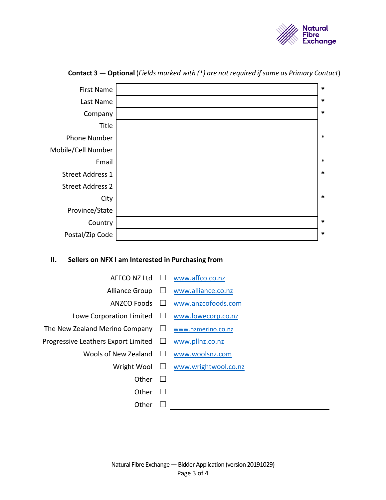

| $\ast$ | <b>First Name</b>       |
|--------|-------------------------|
| $\ast$ | Last Name               |
| $\ast$ | Company                 |
|        | Title                   |
| $\ast$ | <b>Phone Number</b>     |
|        | Mobile/Cell Number      |
| $\ast$ | Email                   |
| $\ast$ | <b>Street Address 1</b> |
|        | <b>Street Address 2</b> |
| $\ast$ | City                    |
|        | Province/State          |
| $\ast$ | Country                 |
| $\ast$ | Postal/Zip Code         |

#### **Contact 3 — Optional** (*Fields marked with (\*) are not required if same as Primary Contact*)

#### **II. Sellers on NFX I am Interested in Purchasing from**

- AFFCO NZ Ltd □ [www.affco.co.nz](http://www.affco.co.nz/)
	-
- Alliance Group □ [www.alliance.co.nz](http://www.alliance.co.nz/)
- ANZCO Foods ☐ [www.anzcofoods.com](http://www.anzcofoods.com/)
- 
- Lowe Corporation Limited ☐ [www.lowecorp.co.nz](http://www.lowecorp.co.nz/)
- The New Zealand Merino Company □ [www.nzmerino.co.nz](http://www.nzmerino.co.nz/)
- Progressive Leathers Export Limited □ [www.pllnz.co.nz](http://www.pllnz.co.nz/)
	- Wools of New Zealand □ [www.woolsnz.com](http://www.woolsnz.com/)
		-
		- Wright Wool □ [www.wrightwool.co.nz](http://www.wrightwool.co.nz/)

- Other ☐
- Other  $\Box$
- Other ☐